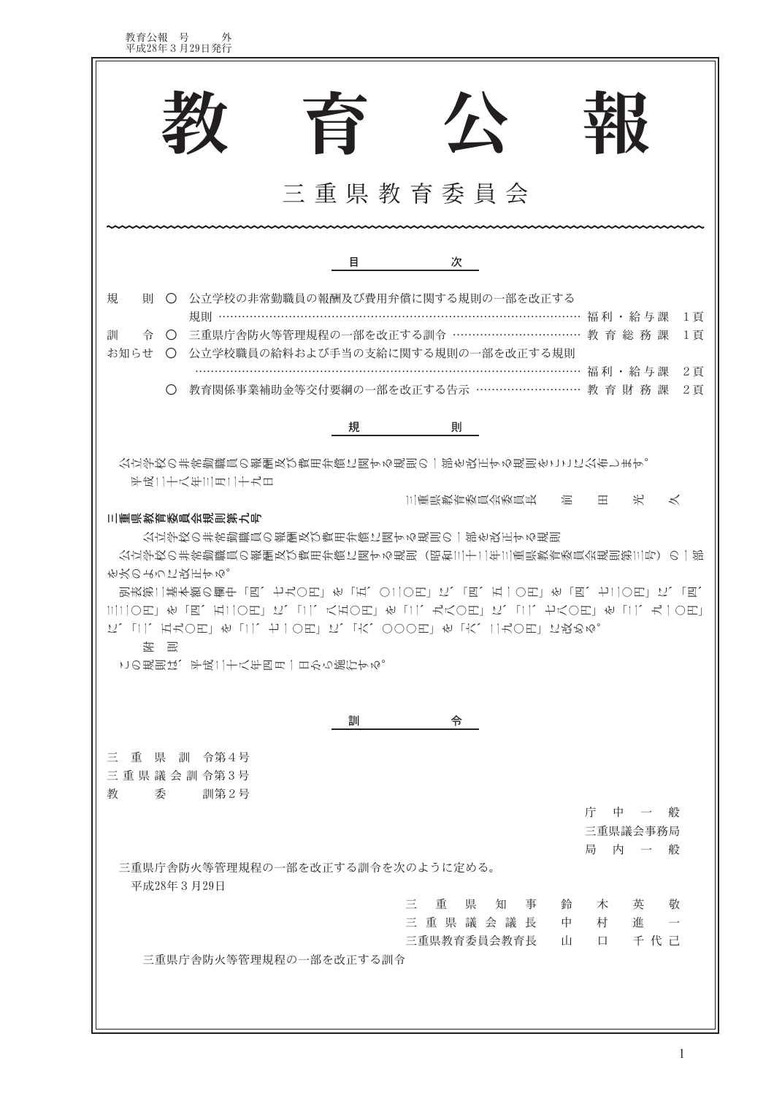教育公報 号 外 平成28年3月29日発行

| 公<br>旨<br>琳                                                                                                                                                                                                                                                                                                                                                                           |
|---------------------------------------------------------------------------------------------------------------------------------------------------------------------------------------------------------------------------------------------------------------------------------------------------------------------------------------------------------------------------------------|
|                                                                                                                                                                                                                                                                                                                                                                                       |
| 三重県教育委員会                                                                                                                                                                                                                                                                                                                                                                              |
|                                                                                                                                                                                                                                                                                                                                                                                       |
| 次<br>目                                                                                                                                                                                                                                                                                                                                                                                |
| 馴<br>規<br>公立学校の非常勤職員の報酬及び費用弁償に関する規則の一部を改正する<br>$\bigcirc$<br>福利·給与課<br>1頁<br>規則 …                                                                                                                                                                                                                                                                                                     |
| 令 ○ 三重県庁舎防火等管理規程の一部を改正する訓令 ……………………………<br>教育総務課<br>訓<br>1頁                                                                                                                                                                                                                                                                                                                            |
| お知らせ<br>○ 公立学校職員の給料および手当の支給に関する規則の一部を改正する規則                                                                                                                                                                                                                                                                                                                                           |
| 福利·給与課<br>2頁<br>教育関係事業補助金等交付要綱の一部を改正する告示 ………………………<br>教育財務課<br>2頁                                                                                                                                                                                                                                                                                                                     |
| 規<br>則                                                                                                                                                                                                                                                                                                                                                                                |
| 平成二十八年三月二十九日<br>三重県教育委員会委員長<br>*<br>温<br>田<br>$\ltimes$<br>三重県教育委員会規則第九号<br>公立学校の非常勤職員の報酬及び費用弁償に関する規則の一部を改正する規則<br>公立学校の非常勤職員の報酬及び費用弁償に関する規則(昭和三十二年三重県教育委員会規則第三号)の一部<br>を次のように改正する。<br>別表第二基本額の矚中「四、七九〇円」を「五、〇二〇円」に、「四、五一〇円」を「四、七二〇円」に、「四、<br>三二〇円」を「四、五二〇円」に、 [二、八五〇円」を「二、九八〇円」に、 [二、七八〇円」を「二、九一〇円」<br>た、[1]、眉七〇圧〕を [1]、わ丨〇圧」に、[六、○○○圧] を [六、1]七〇圧] に投めぬ。<br>この規則は、平成二十八年四月一日から施行する。 |
| 訓<br>令                                                                                                                                                                                                                                                                                                                                                                                |
| 重 県 訓 令第4号<br>三<br>三重県議会訓令第3号<br>訓第2号<br>教<br>委                                                                                                                                                                                                                                                                                                                                       |
| 庁<br>中 一 般<br>三重県議会事務局<br>内<br>一般<br>局                                                                                                                                                                                                                                                                                                                                                |
| 三重県庁舎防火等管理規程の一部を改正する訓令を次のように定める。<br>平成28年3月29日                                                                                                                                                                                                                                                                                                                                        |
| 三<br>重<br>県<br>知<br>事<br>敬<br>鈴<br>木<br>英<br>三重県議会議長<br>村<br>進<br>中                                                                                                                                                                                                                                                                                                                   |
| 千代己<br>三重県教育委員会教育長<br>Щ<br>$\Box$<br>三重県庁舎防火等管理規程の一部を改正する訓令                                                                                                                                                                                                                                                                                                                           |
|                                                                                                                                                                                                                                                                                                                                                                                       |

 $\overline{\phantom{0}}$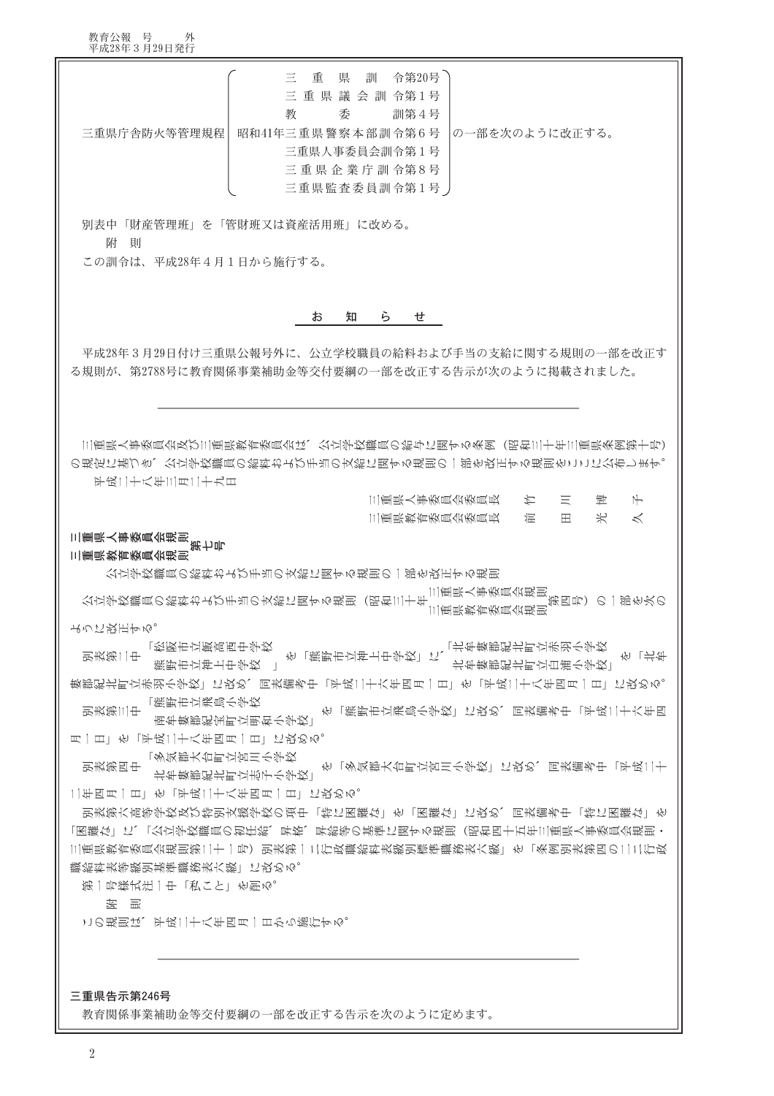教育公報 号 外<br>平成28年 3月29日発行

| 三 重 県 訓 令第20号<br>三重県議会訓令第1号<br>教<br>委<br>訓第4号<br>三重県庁舎防火等管理規程<br>昭和41年三重県警察本部訓令第6号<br> の一部を次のように改正する。<br>三重県人事委員会訓令第1号<br>三重県企業庁訓令第8号<br>三重県監査委員訓令第1号<br>別表中「財産管理班」を「管財班又は資産活用班」に改める。<br>附<br>一貝川<br>この訓令は、平成28年4月1日から施行する。 |
|-----------------------------------------------------------------------------------------------------------------------------------------------------------------------------------------------------------------------------|
|                                                                                                                                                                                                                             |
| 知<br>お<br>5<br>せ                                                                                                                                                                                                            |
| 平成28年3月29日付け三重県公報号外に、公立学校職員の給料および手当の支給に関する規則の一部を改正す<br>る規則が、第2788号に教育関係事業補助金等交付要綱の一部を改正する告示が次のように掲載されました。                                                                                                                   |
| 三重県人事委員会及び三重県教育委員会は、公立学校職員の給与に関する条例(昭和三十年三重県条例第十号)<br>の規定に基づき、公立学校職員の給料および手当の支給に関する規則の一部を改正する規則をここに公布します。<br>平成11十八年111月11十九日<br>三重県人事委員会委員長<br><b>た</b><br>三<br>壍<br>$\mathbb H$<br>$\lt$<br>三重県教育委員会委員長<br>Ħ.<br>米        |
| 三重県人事委員会規則 第七号                                                                                                                                                                                                              |
| 三重県教育委員会規則<br>公立学校職員の給料および手当の支給に関する規則の一部を改正する規則                                                                                                                                                                             |
|                                                                                                                                                                                                                             |
| ように改正する。<br>「松阪市立飯高西中学校                                                                                                                                                                                                     |
| 」<br>- を「熊野市立神上中学校」に、「北牟婁郡紀北町立赤羽小学校<br>北牟婁郡紀北町立白浦小学校」を「北牟<br>別表第二中<br>熊野市立神上中学校<br>  婁郡紀北町立赤羽小学校」に改め、同表備考中「平成二十六年四月一日」を「平成二十八年四月一日」に改める。                                                                                    |
| 一熊野市立飛鳥小学校<br>別表第三中<br>南牟婁郡紀宝町立明和小学校」を「熊野市立飛鳥小学校」に改め、同表備考中「平成二十六年四南牟婁郡紀宝町立明和小学校」を「熊野市立飛鳥小学校」に改め、同表備考中「平成二十六年四                                                                                                               |
| 月一日二名「平成二十八年四月一日」に改める。                                                                                                                                                                                                      |
| 「多気郡大台町立宮川小学校」<br>別表第四中<br>を「多気郡大台町立宮川小学校」に改め、同表備考中「平成二十                                                                                                                                                                    |
| 北牟婁郡紀北町立志子小学校」<br>二年四月一日二を「平成二十八年四月一日」に改める。                                                                                                                                                                                 |
| 別表第六高等学校及び特別支援学校の項中「特に困難な」を「困難な」に改め、同表備考中「特に困難な」を                                                                                                                                                                           |
| 「困難な」に、「公立学校職員の初任給、昇格、昇給等の基準に関する規則(昭和四十五年三重県人事委員会規則・<br>三重県教育委員会規則第二十一号)別表第一二行政職給料表級別標準職務表六級」を「条例別表第四の二二行政                                                                                                                  |
| 職給料表等級別基準職務表六級」に改める。                                                                                                                                                                                                        |
| 第一号様式注一中「私こと」を罰る。                                                                                                                                                                                                           |
| を 明<br>この規則は、平成二十八年四月一日から施行する。                                                                                                                                                                                              |
|                                                                                                                                                                                                                             |
|                                                                                                                                                                                                                             |

## 三重県告示第246号

教育関係事業補助金等交付要綱の一部を改正する告示を次のように定めます。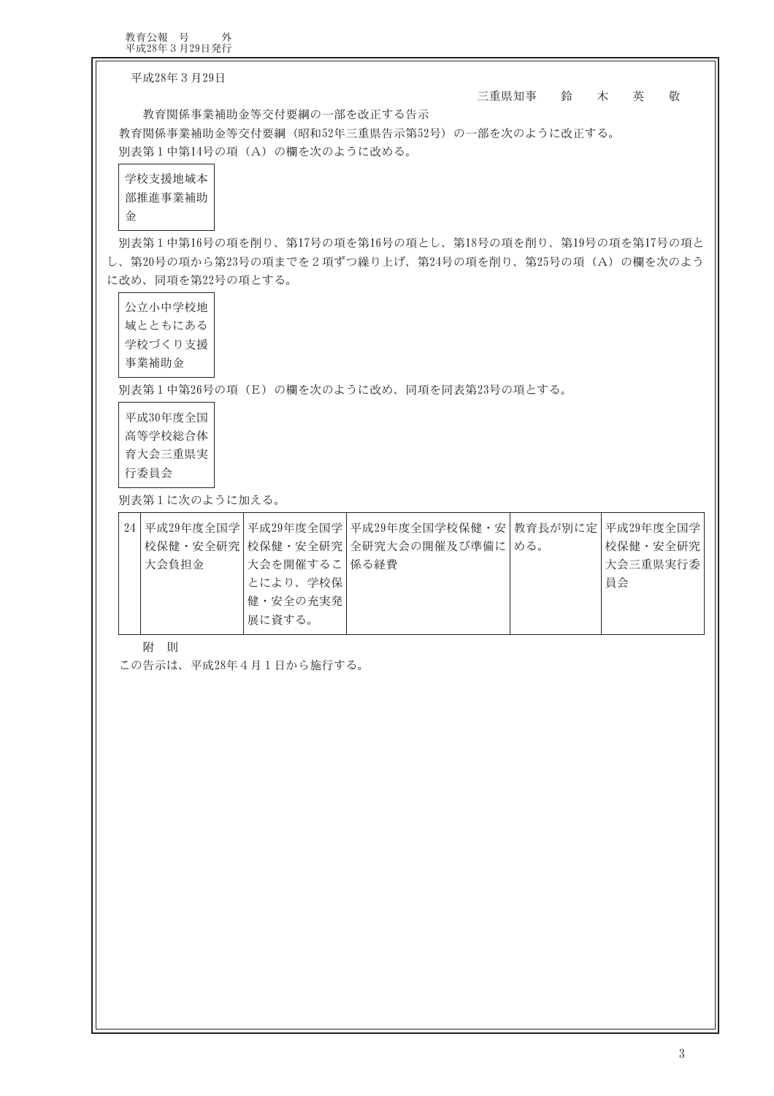教育公報 号 外<br>平成28年3月29日発行

平成28年3月29日

三重県知事 鈴 木 英 敬

教育関係事業補助金等交付要綱の一部を改正する告示 教育関係事業補助金等交付要綱 (昭和52年三重県告示第52号)の一部を次のように改正する。 別表第1中第14号の項 (A) の欄を次のように改める。

学校支援地域本 部推進事業補助 金

別表第1中第16号の項を削り、第17号の項を第16号の項とし、第18号の項を削り、第19号の項を第17号の項と し、第20号の項から第23号の項までを2項ずつ繰り上げ、第24号の項を削り、第25号の項 (A) の欄を次のよう に改め、同項を第22号の項とする。

公立小中学校地 域とともにある 学校づくり支援 事業補助金

別表第1中第26号の項 (E) の欄を次のように改め、同項を同表第23号の項とする。

平成30年度全国 高等学校総合体 育大会三重県実 行委員会

別表第1に次のように加える。

|       |               | 24  平成29年度全国学 平成29年度全国学 平成29年度全国学校保健・安 教育長が別に定 平成29年度全国学 |          |
|-------|---------------|----------------------------------------------------------|----------|
|       |               | 校保健・安全研究  校保健・安全研究  全研究大会の開催及び準備に  める。                   | 校保健・安全研究 |
| 大会負担金 | 大会を開催するこ 係る経費 |                                                          | 大会三重県実行委 |
|       | 「とにより、学校保」    |                                                          | 昌会       |
|       | 健・安全の充実発      |                                                          |          |
|       | 展に資する。        |                                                          |          |

附 則

この告示は、平成28年4月1日から施行する。